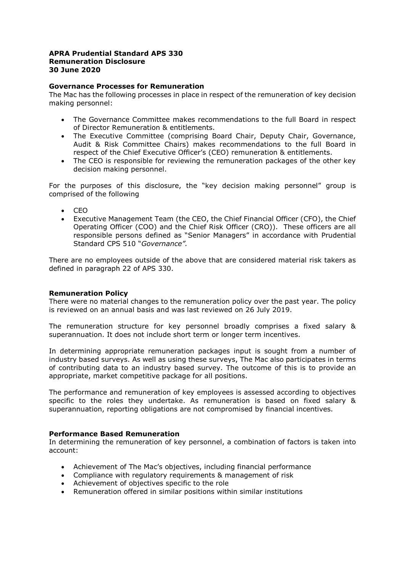# **APRA Prudential Standard APS 330 Remuneration Disclosure 30 June 2020**

#### **Governance Processes for Remuneration**

The Mac has the following processes in place in respect of the remuneration of key decision making personnel:

- The Governance Committee makes recommendations to the full Board in respect of Director Remuneration & entitlements.
- The Executive Committee (comprising Board Chair, Deputy Chair, Governance, Audit & Risk Committee Chairs) makes recommendations to the full Board in respect of the Chief Executive Officer's (CEO) remuneration & entitlements.
- The CEO is responsible for reviewing the remuneration packages of the other key decision making personnel.

For the purposes of this disclosure, the "key decision making personnel" group is comprised of the following

- CEO
- Executive Management Team (the CEO, the Chief Financial Officer (CFO), the Chief Operating Officer (COO) and the Chief Risk Officer (CRO)). These officers are all responsible persons defined as "Senior Managers" in accordance with Prudential Standard CPS 510 "*Governance".*

There are no employees outside of the above that are considered material risk takers as defined in paragraph 22 of APS 330.

### **Remuneration Policy**

There were no material changes to the remuneration policy over the past year. The policy is reviewed on an annual basis and was last reviewed on 26 July 2019.

The remuneration structure for key personnel broadly comprises a fixed salary & superannuation. It does not include short term or longer term incentives.

In determining appropriate remuneration packages input is sought from a number of industry based surveys. As well as using these surveys, The Mac also participates in terms of contributing data to an industry based survey. The outcome of this is to provide an appropriate, market competitive package for all positions.

The performance and remuneration of key employees is assessed according to objectives specific to the roles they undertake. As remuneration is based on fixed salary & superannuation, reporting obligations are not compromised by financial incentives.

### **Performance Based Remuneration**

In determining the remuneration of key personnel, a combination of factors is taken into account:

- Achievement of The Mac's objectives, including financial performance
- Compliance with regulatory requirements & management of risk
- Achievement of objectives specific to the role
- Remuneration offered in similar positions within similar institutions